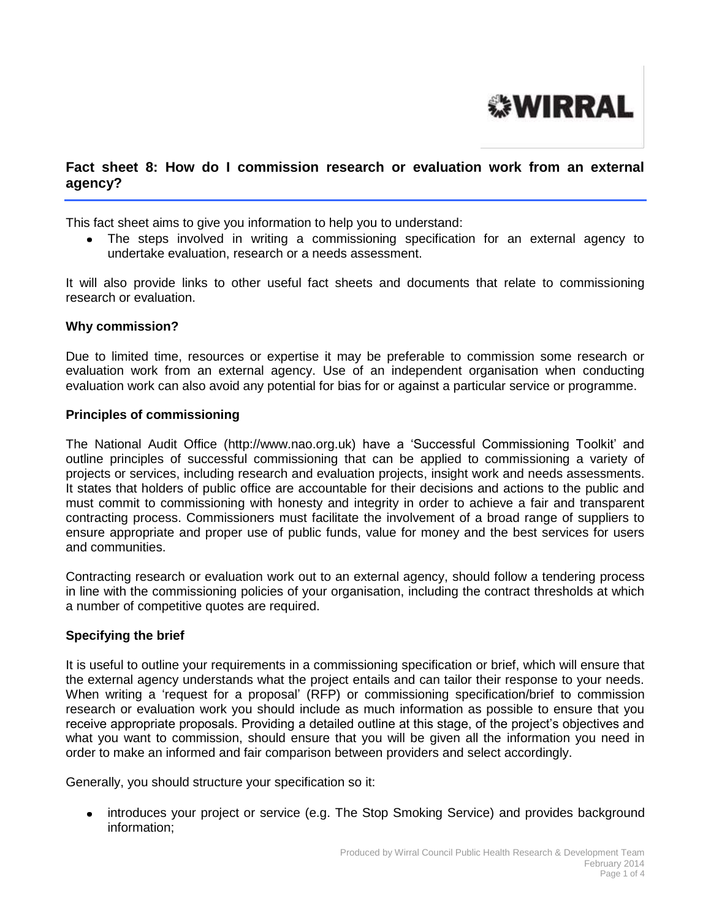# **WIRRAL**

# **Fact sheet 8: How do I commission research or evaluation work from an external agency?**

This fact sheet aims to give you information to help you to understand:

The steps involved in writing a commissioning specification for an external agency to undertake evaluation, research or a needs assessment.

It will also provide links to other useful fact sheets and documents that relate to commissioning research or evaluation.

#### **Why commission?**

Due to limited time, resources or expertise it may be preferable to commission some research or evaluation work from an external agency. Use of an independent organisation when conducting evaluation work can also avoid any potential for bias for or against a particular service or programme.

#### **Principles of commissioning**

The National Audit Office (http://www.nao.org.uk) have a 'Successful Commissioning Toolkit' and outline principles of successful commissioning that can be applied to commissioning a variety of projects or services, including research and evaluation projects, insight work and needs assessments. It states that holders of public office are accountable for their decisions and actions to the public and must commit to commissioning with honesty and integrity in order to achieve a fair and transparent contracting process. Commissioners must facilitate the involvement of a broad range of suppliers to ensure appropriate and proper use of public funds, value for money and the best services for users and communities.

Contracting research or evaluation work out to an external agency, should follow a tendering process in line with the commissioning policies of your organisation, including the contract thresholds at which a number of competitive quotes are required.

#### **Specifying the brief**

It is useful to outline your requirements in a commissioning specification or brief, which will ensure that the external agency understands what the project entails and can tailor their response to your needs. When writing a 'request for a proposal' (RFP) or commissioning specification/brief to commission research or evaluation work you should include as much information as possible to ensure that you receive appropriate proposals. Providing a detailed outline at this stage, of the project's objectives and what you want to commission, should ensure that you will be given all the information you need in order to make an informed and fair comparison between providers and select accordingly.

Generally, you should structure your specification so it:

introduces your project or service (e.g. The Stop Smoking Service) and provides background information;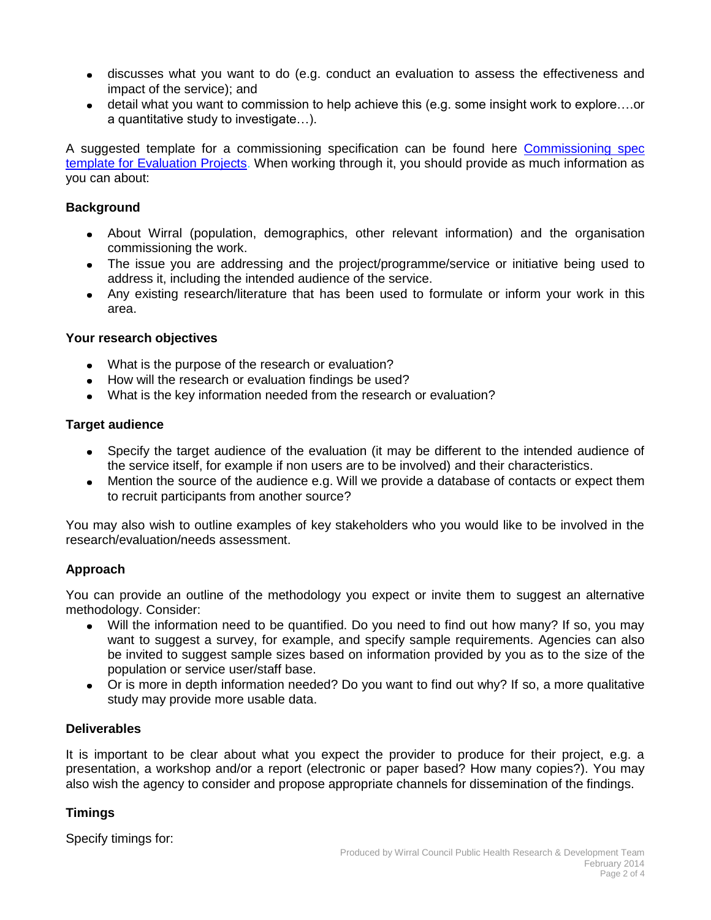- discusses what you want to do (e.g. conduct an evaluation to assess the effectiveness and impact of the service); and
- detail what you want to commission to help achieve this (e.g. some insight work to explore….or a quantitative study to investigate…).

A suggested template for a commissioning specification can be found here [Commissioning spec](http://info.wirral.nhs.uk/intelligencehub/howtofact-sheetsonevidence&research.html)  [template for Evaluation Projects.](http://info.wirral.nhs.uk/intelligencehub/howtofact-sheetsonevidence&research.html) When working through it, you should provide as much information as you can about:

#### **Background**

- About Wirral (population, demographics, other relevant information) and the organisation commissioning the work.
- The issue you are addressing and the project/programme/service or initiative being used to address it, including the intended audience of the service.
- Any existing research/literature that has been used to formulate or inform your work in this area.

# **Your research objectives**

- What is the purpose of the research or evaluation?
- How will the research or evaluation findings be used?
- What is the key information needed from the research or evaluation?

#### **Target audience**

- Specify the target audience of the evaluation (it may be different to the intended audience of the service itself, for example if non users are to be involved) and their characteristics.
- Mention the source of the audience e.g. Will we provide a database of contacts or expect them to recruit participants from another source?

You may also wish to outline examples of key stakeholders who you would like to be involved in the research/evaluation/needs assessment.

# **Approach**

You can provide an outline of the methodology you expect or invite them to suggest an alternative methodology. Consider:

- Will the information need to be quantified. Do you need to find out how many? If so, you may want to suggest a survey, for example, and specify sample requirements. Agencies can also be invited to suggest sample sizes based on information provided by you as to the size of the population or service user/staff base.
- Or is more in depth information needed? Do you want to find out why? If so, a more qualitative study may provide more usable data.

# **Deliverables**

It is important to be clear about what you expect the provider to produce for their project, e.g. a presentation, a workshop and/or a report (electronic or paper based? How many copies?). You may also wish the agency to consider and propose appropriate channels for dissemination of the findings.

# **Timings**

Specify timings for: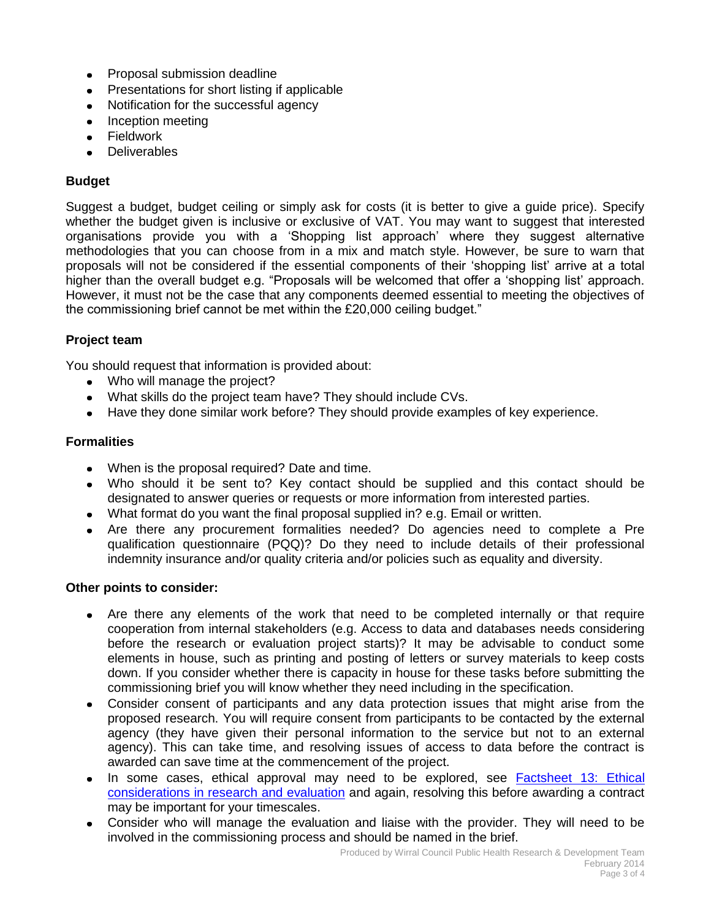- Proposal submission deadline
- Presentations for short listing if applicable
- Notification for the successful agency
- Inception meeting
- **•** Fieldwork
- **•** Deliverables

## **Budget**

Suggest a budget, budget ceiling or simply ask for costs (it is better to give a guide price). Specify whether the budget given is inclusive or exclusive of VAT. You may want to suggest that interested organisations provide you with a 'Shopping list approach' where they suggest alternative methodologies that you can choose from in a mix and match style. However, be sure to warn that proposals will not be considered if the essential components of their 'shopping list' arrive at a total higher than the overall budget e.g. "Proposals will be welcomed that offer a 'shopping list' approach. However, it must not be the case that any components deemed essential to meeting the objectives of the commissioning brief cannot be met within the £20,000 ceiling budget."

#### **Project team**

You should request that information is provided about:

- Who will manage the project?
- What skills do the project team have? They should include CVs.
- Have they done similar work before? They should provide examples of key experience.

#### **Formalities**

- When is the proposal required? Date and time.
- Who should it be sent to? Key contact should be supplied and this contact should be designated to answer queries or requests or more information from interested parties.
- What format do you want the final proposal supplied in? e.g. Email or written.
- Are there any procurement formalities needed? Do agencies need to complete a Pre qualification questionnaire (PQQ)? Do they need to include details of their professional indemnity insurance and/or quality criteria and/or policies such as equality and diversity.

#### **Other points to consider:**

- Are there any elements of the work that need to be completed internally or that require cooperation from internal stakeholders (e.g. Access to data and databases needs considering before the research or evaluation project starts)? It may be advisable to conduct some elements in house, such as printing and posting of letters or survey materials to keep costs down. If you consider whether there is capacity in house for these tasks before submitting the commissioning brief you will know whether they need including in the specification.
- Consider consent of participants and any data protection issues that might arise from the proposed research. You will require consent from participants to be contacted by the external agency (they have given their personal information to the service but not to an external agency). This can take time, and resolving issues of access to data before the contract is awarded can save time at the commencement of the project.
- In some cases, ethical approval may need to be explored, see Factsheet 13: Ethical [considerations in research and evaluation](http://info.wirral.nhs.uk/intelligencehub/howtofact-sheetsonevidence&research.html) and again, resolving this before awarding a contract may be important for your timescales.
- Consider who will manage the evaluation and liaise with the provider. They will need to be involved in the commissioning process and should be named in the brief.